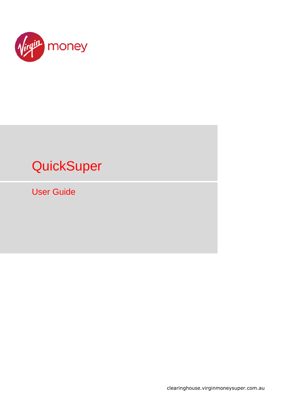

# **QuickSuper**

User Guide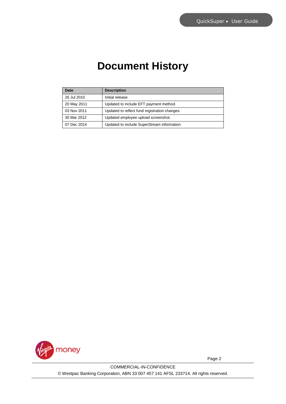# **Document History**

| Date        | <b>Description</b>                            |
|-------------|-----------------------------------------------|
| 26 Jul 2010 | Initial release                               |
| 20 May 2011 | Updated to include EFT payment method.        |
| 03 Nov 2011 | Updated to reflect fund registration changes. |
| 30 Mar 2012 | Updated employee upload screenshot.           |
| 07 Dec 2014 | Updated to include SuperStream information    |

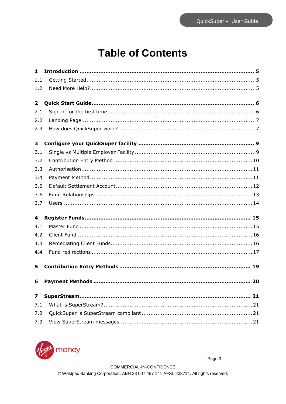# **Table of Contents**

| $\mathbf{1}$            |  |
|-------------------------|--|
| 1.1                     |  |
| 1.2                     |  |
| $\overline{2}$          |  |
| 2.1                     |  |
| 2.2                     |  |
| 2.3                     |  |
| 3                       |  |
| 3.1                     |  |
| 3.2                     |  |
| 3.3                     |  |
| 3.4                     |  |
| 3.5                     |  |
| 3.6                     |  |
| 3.7                     |  |
| 4                       |  |
| 4.1                     |  |
| 4.2                     |  |
| 4.3                     |  |
| 4.4                     |  |
| 5                       |  |
| 6                       |  |
| $\overline{\mathbf{z}}$ |  |
| 7.1                     |  |
| 7.2                     |  |
| 7.3                     |  |

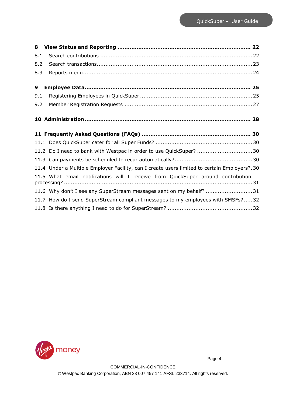| 8.1 |                                                                                              |  |
|-----|----------------------------------------------------------------------------------------------|--|
| 8.2 |                                                                                              |  |
| 8.3 |                                                                                              |  |
| 9   |                                                                                              |  |
| 9.1 |                                                                                              |  |
| 9.2 |                                                                                              |  |
|     |                                                                                              |  |
|     |                                                                                              |  |
|     |                                                                                              |  |
|     | 11.2 Do I need to bank with Westpac in order to use QuickSuper? 30                           |  |
|     |                                                                                              |  |
|     | 11.4 Under a Multiple Employer Facility, can I create users limited to certain Employers?.30 |  |
|     | 11.5 What email notifications will I receive from QuickSuper around contribution             |  |
|     | 11.6 Why don't I see any SuperStream messages sent on my behalf? 31                          |  |
|     | 11.7 How do I send SuperStream compliant messages to my employees with SMSFs?32              |  |
|     |                                                                                              |  |

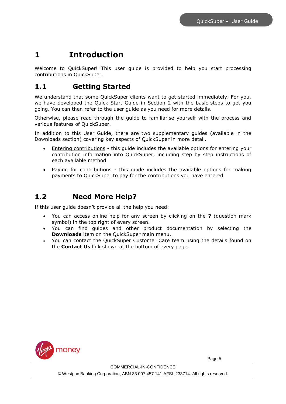### <span id="page-4-0"></span>**1 Introduction**

Welcome to QuickSuper! This user guide is provided to help you start processing contributions in QuickSuper.

### <span id="page-4-1"></span>**1.1 Getting Started**

We understand that some QuickSuper clients want to get started immediately. For you, we have developed the Quick Start Guide in Section [2](#page-4-3) with the basic steps to get you going. You can then refer to the user guide as you need for more details.

Otherwise, please read through the guide to familiarise yourself with the process and various features of QuickSuper.

In addition to this User Guide, there are two supplementary guides (available in the Downloads section) covering key aspects of QuickSuper in more detail.

- Entering contributions this guide includes the available options for entering your contribution information into QuickSuper, including step by step instructions of each available method
- Paying for contributions this guide includes the available options for making payments to QuickSuper to pay for the contributions you have entered

### <span id="page-4-2"></span>**1.2 Need More Help?**

If this user guide doesn't provide all the help you need:

- You can access online help for any screen by clicking on the **?** (question mark symbol) in the top right of every screen.
- You can find guides and other product documentation by selecting the **Downloads** item on the QuickSuper main menu.
- <span id="page-4-3"></span> You can contact the QuickSuper Customer Care team using the details found on the **Contact Us** link shown at the bottom of every page.

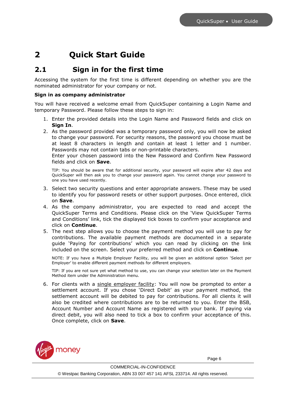## <span id="page-5-0"></span>**2 Quick Start Guide**

### <span id="page-5-1"></span>**2.1 Sign in for the first time**

Accessing the system for the first time is different depending on whether you are the nominated administrator for your company or not.

#### **Sign in as company administrator**

You will have received a welcome email from QuickSuper containing a Login Name and temporary Password. Please follow these steps to sign in:

- 1. Enter the provided details into the Login Name and Password fields and click on **Sign In**.
- 2. As the password provided was a temporary password only, you will now be asked to change your password. For security reasons, the password you choose must be at least 8 characters in length and contain at least 1 letter and 1 number. Passwords may not contain tabs or non-printable characters.

Enter your chosen password into the New Password and Confirm New Password fields and click on **Save**.

TIP: You should be aware that for additional security, your password will expire after 42 days and QuickSuper will then ask you to change your password again. You cannot change your password to one you have used recently.

- 3. Select two security questions and enter appropriate answers. These may be used to identify you for password resets or other support purposes. Once entered, click on **Save**.
- 4. As the company administrator, you are expected to read and accept the QuickSuper Terms and Conditions. Please click on the 'View QuickSuper Terms and Conditions' link, tick the displayed tick boxes to confirm your acceptance and click on **Continue**.
- 5. The next step allows you to choose the payment method you will use to pay for contributions. The available payment methods are documented in a separate guide 'Paying for contributions' which you can read by clicking on the link included on the screen. Select your preferred method and click on **Continue**.

NOTE: If you have a Multiple Employer Facility, you will be given an additional option 'Select per Employer' to enable different payment methods for different employers.

TIP: If you are not sure yet what method to use, you can change your selection later on the Payment Method item under the Administration menu.

6. For clients with a single employer facility: You will now be prompted to enter a settlement account. If you chose 'Direct Debit' as your payment method, the settlement account will be debited to pay for contributions. For all clients it will also be credited where contributions are to be returned to you. Enter the BSB, Account Number and Account Name as registered with your bank. If paying via direct debit, you will also need to tick a box to confirm your acceptance of this. Once complete, click on **Save**.

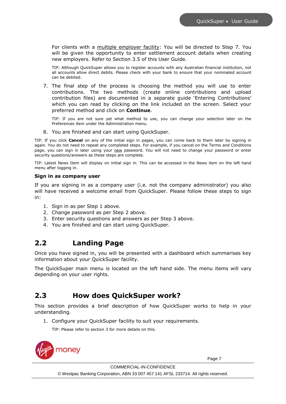For clients with a multiple employer facility: You will be directed to Step 7. You will be given the opportunity to enter settlement account details when creating new employers. Refer to Section 3.5 of this User Guide.

TIP: Although QuickSuper allows you to register accounts with any Australian financial institution, not all accounts allow direct debits. Please check with your bank to ensure that your nominated account can be debited.

7. The final step of the process is choosing the method you will use to enter contributions. The two methods (create online contributions and upload contribution files) are documented in a separate guide 'Entering Contributions' which you can read by clicking on the link included on the screen. Select your preferred method and click on **Continue**.

TIP: If you are not sure yet what method to use, you can change your selection later on the Preferences item under the Administration menu.

8. You are finished and can start using QuickSuper.

TIP: If you click **Cancel** on any of the initial sign in pages, you can come back to them later by signing in again. You do not need to repeat any completed steps. For example, if you cancel on the Terms and Conditions page, you can sign in later using your new password. You will not need to change your password or enter security questions/answers as these steps are complete.

TIP: Latest News Item will display on initial sign in. This can be accessed in the News item on the left hand menu after logging in.

#### **Sign in as company user**

If you are signing in as a company user (i.e. not the company administrator) you also will have received a welcome email from QuickSuper. Please follow these steps to sign in:

- 1. Sign in as per Step 1 above.
- 2. Change password as per Step 2 above.
- 3. Enter security questions and answers as per Step 3 above.
- 4. You are finished and can start using QuickSuper.

### <span id="page-6-0"></span>**2.2 Landing Page**

Once you have signed in, you will be presented with a dashboard which summarises key information about your QuickSuper facility.

The QuickSuper main menu is located on the left hand side. The menu items will vary depending on your user rights.

### <span id="page-6-1"></span>**2.3 How does QuickSuper work?**

This section provides a brief description of how QuickSuper works to help in your understanding.

1. Configure your QuickSuper facility to suit your requirements.

TIP: Please refer to section [3](#page-8-0) for more details on this.

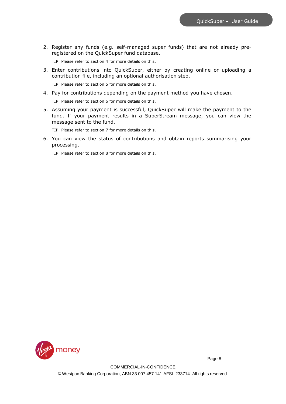2. Register any funds (e.g. self-managed super funds) that are not already preregistered on the QuickSuper fund database.

TIP: Please refer to section [4](#page-14-0) for more details on this.

3. Enter contributions into QuickSuper, either by creating online or uploading a contribution file, including an optional authorisation step.

TIP: Please refer to section [5](#page-18-0) for more details on this.

4. Pay for contributions depending on the payment method you have chosen.

TIP: Please refer to section [6](#page-19-0) for more details on this.

5. Assuming your payment is successful, QuickSuper will make the payment to the fund. If your payment results in a SuperStream message, you can view the message sent to the fund.

TIP: Please refer to section [7](#page-20-0) for more details on this.

6. You can view the status of contributions and obtain reports summarising your processing.

TIP: Please refer to section [8](#page-21-0) for more details on this.

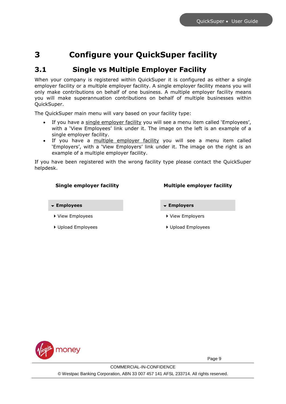### <span id="page-8-0"></span>**3 Configure your QuickSuper facility**

### <span id="page-8-1"></span>**3.1 Single vs Multiple Employer Facility**

When your company is registered within QuickSuper it is configured as either a single employer facility or a multiple employer facility. A single employer facility means you will only make contributions on behalf of one business. A multiple employer facility means you will make superannuation contributions on behalf of multiple businesses within QuickSuper.

The QuickSuper main menu will vary based on your facility type:

- If you have a single employer facility you will see a menu item called 'Employees', with a 'View Employees' link under it. The image on the left is an example of a single employer facility.
- If you have a multiple employer facility you will see a menu item called 'Employers', with a 'View Employers' link under it. The image on the right is an example of a multiple employer facility.

If you have been registered with the wrong facility type please contact the QuickSuper helpdesk.

#### **Single employer facility Multiple employer facility**

- **Employees Employers**
- ▶ View Employees **Acceleration** View Employers
- <span id="page-8-2"></span>▶ Upload Employees **Internal Employees**

- 
- 

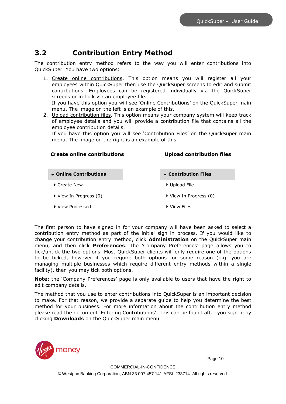### <span id="page-9-0"></span>**3.2 Contribution Entry Method**

The contribution entry method refers to the way you will enter contributions into QuickSuper. You have two options:

1. Create online contributions. This option means you will register all your employees within QuickSuper then use the QuickSuper screens to edit and submit contributions. Employees can be registered individually via the QuickSuper screens or in bulk via an employee file.

If you have this option you will see 'Online Contributions' on the QuickSuper main menu. The image on the left is an example of this.

2. Upload contribution files. This option means your company system will keep track of employee details and you will provide a contribution file that contains all the employee contribution details.

If you have this option you will see 'Contribution Files' on the QuickSuper main menu. The image on the right is an example of this.

### **Create online contributions Upload contribution files**

- **Online Contributions Contribution Files**
- ▶ Create New 2008 2012 2012 2014 2015 2016 2017 2018 2019 2012 2014 2017 2018 2019 2019 2017 2018 2019 2019 201
- ▶ View In Progress (0)  $\longrightarrow$  View In Progress (0)
- ▶ View Processed **Department Of Allen Wiew Files**
- 
- 
- 
- 

The first person to have signed in for your company will have been asked to select a contribution entry method as part of the initial sign in process. If you would like to change your contribution entry method, click **Administration** on the QuickSuper main menu, and then click **Preferences**. The 'Company Preferences' page allows you to tick/untick the two options. Most QuickSuper clients will only require one of the options to be ticked, however if you require both options for some reason (e.g. you are managing multiple businesses which require different entry methods within a single facility), then you may tick both options.

**Note:** the 'Company Preferences' page is only available to users that have the right to edit company details.

The method that you use to enter contributions into QuickSuper is an important decision to make. For that reason, we provide a separate guide to help you determine the best method for your business. For more information about the contribution entry method please read the document 'Entering Contributions'. This can be found after you sign in by clicking **Downloads** on the QuickSuper main menu.

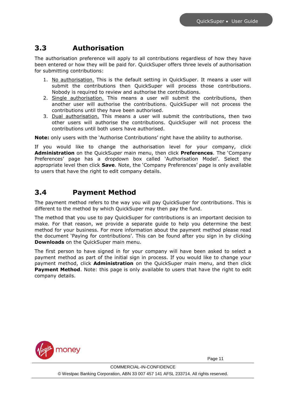### <span id="page-10-0"></span>**3.3 Authorisation**

The authorisation preference will apply to all contributions regardless of how they have been entered or how they will be paid for. QuickSuper offers three levels of authorisation for submitting contributions:

- 1. No authorisation. This is the default setting in QuickSuper. It means a user will submit the contributions then QuickSuper will process those contributions. Nobody is required to review and authorise the contributions.
- 2. Single authorisation. This means a user will submit the contributions, then another user will authorise the contributions. QuickSuper will not process the contributions until they have been authorised.
- 3. Dual authorisation. This means a user will submit the contributions, then two other users will authorise the contributions. QuickSuper will not process the contributions until both users have authorised.

**Note:** only users with the 'Authorise Contributions' right have the ability to authorise.

If you would like to change the authorisation level for your company, click **Administration** on the QuickSuper main menu, then click **Preferences**. The 'Company Preferences' page has a dropdown box called 'Authorisation Model'. Select the appropriate level then click **Save**. Note, the 'Company Preferences' page is only available to users that have the right to edit company details.

### <span id="page-10-1"></span>**3.4 Payment Method**

The payment method refers to the way you will pay QuickSuper for contributions. This is different to the method by which QuickSuper may then pay the fund.

The method that you use to pay QuickSuper for contributions is an important decision to make. For that reason, we provide a separate guide to help you determine the best method for your business. For more information about the payment method please read the document 'Paying for contributions'. This can be found after you sign in by clicking **Downloads** on the QuickSuper main menu.

The first person to have signed in for your company will have been asked to select a payment method as part of the initial sign in process. If you would like to change your payment method, click **Administration** on the QuickSuper main menu, and then click **Payment Method**. Note: this page is only available to users that have the right to edit company details.

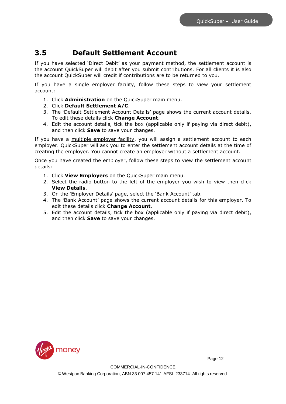### <span id="page-11-0"></span>**3.5 Default Settlement Account**

If you have selected 'Direct Debit' as your payment method, the settlement account is the account QuickSuper will debit after you submit contributions. For all clients it is also the account QuickSuper will credit if contributions are to be returned to you.

If you have a single employer facility, follow these steps to view your settlement account:

- 1. Click **Administration** on the QuickSuper main menu.
- 2. Click **Default Settlement A/C**.
- 3. The 'Default Settlement Account Details' page shows the current account details. To edit these details click **Change Account**.
- 4. Edit the account details, tick the box (applicable only if paying via direct debit), and then click **Save** to save your changes.

If you have a multiple employer facility, you will assign a settlement account to each employer. QuickSuper will ask you to enter the settlement account details at the time of creating the employer. You cannot create an employer without a settlement account.

Once you have created the employer, follow these steps to view the settlement account details:

- 1. Click **View Employers** on the QuickSuper main menu.
- 2. Select the radio button to the left of the employer you wish to view then click **View Details**.
- 3. On the 'Employer Details' page, select the 'Bank Account' tab.
- 4. The 'Bank Account' page shows the current account details for this employer. To edit these details click **Change Account**.
- 5. Edit the account details, tick the box (applicable only if paying via direct debit), and then click **Save** to save your changes.

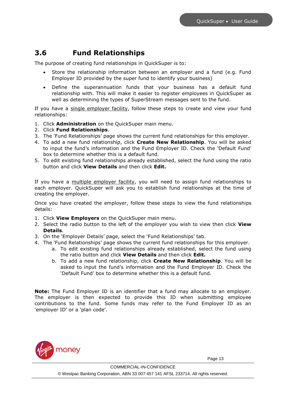### <span id="page-12-0"></span>**3.6 Fund Relationships**

The purpose of creating fund relationships in QuickSuper is to:

- Store the relationship information between an employer and a fund (e.g. Fund Employer ID provided by the super fund to identify your business)
- Define the superannuation funds that your business has a default fund relationship with. This will make it easier to register employees in QuickSuper as well as determining the types of SuperStream messages sent to the fund.

If you have a single employer facility, follow these steps to create and view your fund relationships:

- 1. Click **Administration** on the QuickSuper main menu.
- 2. Click **Fund Relationships**.
- 3. The 'Fund Relationships' page shows the current fund relationships for this employer.
- 4. To add a new fund relationship, click **Create New Relationship**. You will be asked to input the fund's information and the Fund Employer ID. Check the 'Default Fund' box to determine whether this is a default fund.
- 5. To edit existing fund relationships already established, select the fund using the ratio button and click **View Details** and then click **Edit.**

If you have a multiple employer facility, you will need to assign fund relationships to each employer. QuickSuper will ask you to establish fund relationships at the time of creating the employer.

Once you have created the employer, follow these steps to view the fund relationships details:

- 1. Click **View Employers** on the QuickSuper main menu.
- 2. Select the radio button to the left of the employer you wish to view then click **View Details**.
- 3. On the 'Employer Details' page, select the 'Fund Relationships' tab.
- 4. The 'Fund Relationships' page shows the current fund relationships for this employer.
	- a. To edit existing fund relationships already established, select the fund using the ratio button and click **View Details** and then click **Edit.**
	- b. To add a new fund relationship, click **Create New Relationship**. You will be asked to input the fund's information and the Fund Employer ID. Check the 'Default Fund' box to determine whether this is a default fund.

**Note:** The Fund Employer ID is an identifier that a fund may allocate to an employer. The employer is then expected to provide this ID when submitting employee contributions to the fund. Some funds may refer to the Fund Employer ID as an 'employer ID' or a 'plan code'.

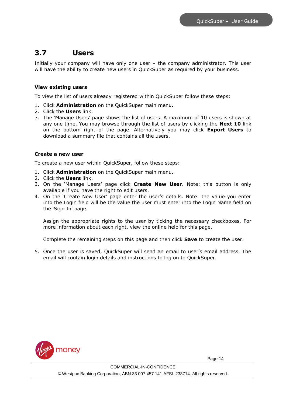### <span id="page-13-0"></span>**3.7 Users**

Initially your company will have only one user – the company administrator. This user will have the ability to create new users in QuickSuper as required by your business.

### **View existing users**

To view the list of users already registered within QuickSuper follow these steps:

- 1. Click **Administration** on the QuickSuper main menu.
- 2. Click the **Users** link.
- 3. The 'Manage Users' page shows the list of users. A maximum of 10 users is shown at any one time. You may browse through the list of users by clicking the **Next 10** link on the bottom right of the page. Alternatively you may click **Export Users** to download a summary file that contains all the users.

### **Create a new user**

To create a new user within QuickSuper, follow these steps:

- 1. Click **Administration** on the QuickSuper main menu.
- 2. Click the **Users** link.
- 3. On the 'Manage Users' page click **Create New User**. Note: this button is only available if you have the right to edit users.
- 4. On the 'Create New User' page enter the user's details. Note: the value you enter into the Login field will be the value the user must enter into the Login Name field on the 'Sign In' page.

Assign the appropriate rights to the user by ticking the necessary checkboxes. For more information about each right, view the online help for this page.

Complete the remaining steps on this page and then click **Save** to create the user.

5. Once the user is saved, QuickSuper will send an email to user's email address. The email will contain login details and instructions to log on to QuickSuper.

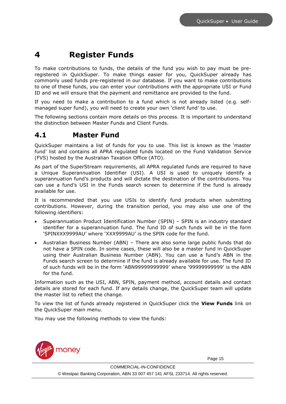### <span id="page-14-0"></span>**4 Register Funds**

To make contributions to funds, the details of the fund you wish to pay must be preregistered in QuickSuper. To make things easier for you, QuickSuper already has commonly used funds pre-registered in our database. If you want to make contributions to one of these funds, you can enter your contributions with the appropriate USI or Fund ID and we will ensure that the payment and remittance are provided to the fund.

If you need to make a contribution to a fund which is not already listed (e.g. selfmanaged super fund), you will need to create your own 'client fund' to use.

The following sections contain more details on this process. It is important to understand the distinction between Master Funds and Client Funds.

### <span id="page-14-1"></span>**4.1 Master Fund**

QuickSuper maintains a list of funds for you to use. This list is known as the 'master fund' list and contains all APRA regulated funds located on the Fund Validation Service (FVS) hosted by the Australian Taxation Office (ATO).

As part of the SuperStream requirements, all APRA regulated funds are required to have a Unique Superannuation Identifier (USI). A USI is used to uniquely identify a superannuation fund's products and will dictate the destination of the contributions. You can use a fund's USI in the Funds search screen to determine if the fund is already available for use.

It is recommended that you use USIs to identify fund products when submitting contributions. However, during the transition period, you may also use one of the following identifiers:

- Superannuation Product Identification Number (SPIN) SPIN is an industry standard identifier for a superannuation fund. The fund ID of such funds will be in the form 'SPINXXX9999AU' where 'XXX9999AU' is the SPIN code for the fund.
- Australian Business Number (ABN) There are also some large public funds that do not have a SPIN code. In some cases, these will also be a master fund in QuickSuper using their Australian Business Number (ABN). You can use a fund's ABN in the Funds search screen to determine if the fund is already available for use. The fund ID of such funds will be in the form 'ABN99999999999' where '99999999999' is the ABN for the fund.

Information such as the USI, ABN, SPIN, payment method, account details and contact details are stored for each fund. If any details change, the QuickSuper team will update the master list to reflect the change.

To view the list of funds already registered in QuickSuper click the **View Funds** link on the QuickSuper main menu.

You may use the following methods to view the funds:

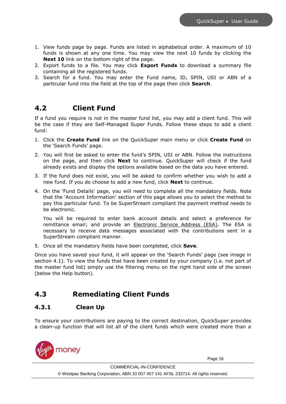- 1. View funds page by page. Funds are listed in alphabetical order. A maximum of 10 funds is shown at any one time. You may view the next 10 funds by clicking the **Next 10** link on the bottom right of the page.
- 2. Export funds to a file. You may click **Export Funds** to download a summary file containing all the registered funds.
- 3. Search for a fund. You may enter the Fund name, ID, SPIN, USI or ABN of a particular fund into the field at the top of the page then click **Search**.

### <span id="page-15-0"></span>**4.2 Client Fund**

If a fund you require is not in the master fund list, you may add a client fund. This will be the case if they are Self-Managed Super Funds. Follow these steps to add a client fund:

- 1. Click the **Create Fund** link on the QuickSuper main menu or click **Create Fund** on the 'Search Funds' page.
- 2. You will first be asked to enter the fund's SPIN, USI or ABN. Follow the instructions on the page, and then click **Next** to continue. QuickSuper will check if the fund already exists and display the options available based on the data you have entered.
- 3. If the fund does not exist, you will be asked to confirm whether you wish to add a new fund. If you do choose to add a new fund, click **Next** to continue.
- 4. On the 'Fund Details' page, you will need to complete all the mandatory fields. Note that the 'Account Information' section of this page allows you to select the method to pay this particular fund. To be SuperStream compliant the payment method needs to be electronic.

You will be required to enter bank account details and select a preference for remittance email; and provide an Electronic Service Address (ESA). The ESA is necessary to receive data messages associated with the contributions sent in a SuperStream compliant manner.

5. Once all the mandatory fields have been completed, click **Save**.

Once you have saved your fund, it will appear on the 'Search Funds' page (see image in section [4.1\)](#page-14-1). To view the funds that have been created by your company (i.e. not part of the master fund list) simply use the filtering menu on the right hand side of the screen (below the Help button).

### <span id="page-15-1"></span>**4.3 Remediating Client Funds**

### **4.3.1 Clean Up**

To ensure your contributions are paying to the correct destination, QuickSuper provides a clean-up function that will list all of the client funds which were created more than a

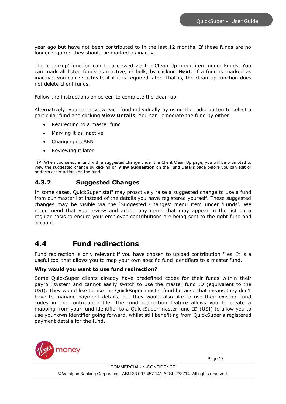year ago but have not been contributed to in the last 12 months. If these funds are no longer required they should be marked as inactive.

The 'clean-up' function can be accessed via the Clean Up menu item under Funds. You can mark all listed funds as inactive, in bulk, by clicking **Next**. If a fund is marked as inactive, you can re-activate it if it is required later. That is, the clean-up function does not delete client funds.

Follow the instructions on screen to complete the clean-up.

Alternatively, you can review each fund individually by using the radio button to select a particular fund and clicking **View Details**. You can remediate the fund by either:

- Redirecting to a master fund
- Marking it as inactive
- Changing its ABN
- Reviewing it later

TIP: When you select a fund with a suggested change under the Client Clean Up page, you will be prompted to view the suggested change by clicking on **View Suggestion** on the Fund Details page before you can edit or perform other actions on the fund.

### **4.3.2 Suggested Changes**

In some cases, QuickSuper staff may proactively raise a suggested change to use a fund from our master list instead of the details you have registered yourself. These suggested changes may be visible via the 'Suggested Changes' menu item under 'Funds'. We recommend that you review and action any items that may appear in the list on a regular basis to ensure your employee contributions are being sent to the right fund and account.

### <span id="page-16-0"></span>**4.4 Fund redirections**

Fund redirection is only relevant if you have chosen to upload contribution files. It is a useful tool that allows you to map your own specific fund identifiers to a master fund.

### **Why would you want to use fund redirection?**

Some QuickSuper clients already have predefined codes for their funds within their payroll system and cannot easily switch to use the master fund ID (equivalent to the USI). They would like to use the QuickSuper master fund because that means they don't have to manage payment details, but they would also like to use their existing fund codes in the contribution file. The fund redirection feature allows you to create a mapping from your fund identifier to a QuickSuper master fund ID (USI) to allow you to use your own identifier going forward, whilst still benefiting from QuickSuper's registered payment details for the fund.

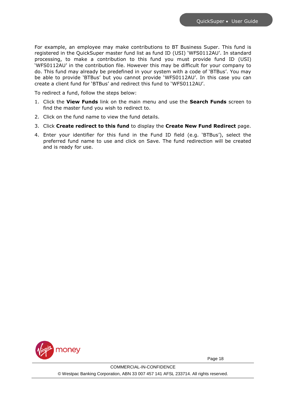For example, an employee may make contributions to BT Business Super. This fund is registered in the QuickSuper master fund list as fund ID (USI) 'WFS0112AU'. In standard processing, to make a contribution to this fund you must provide fund ID (USI) 'WFS0112AU' in the contribution file. However this may be difficult for your company to do. This fund may already be predefined in your system with a code of 'BTBus'. You may be able to provide 'BTBus' but you cannot provide 'WFS0112AU'. In this case you can create a client fund for 'BTBus' and redirect this fund to 'WFS0112AU'.

To redirect a fund, follow the steps below:

- 1. Click the **View Funds** link on the main menu and use the **Search Funds** screen to find the master fund you wish to redirect to.
- 2. Click on the fund name to view the fund details.
- 3. Click **Create redirect to this fund** to display the **Create New Fund Redirect** page.
- 4. Enter your identifier for this fund in the Fund ID field (e.g. 'BTBus'), select the preferred fund name to use and click on Save. The fund redirection will be created and is ready for use.

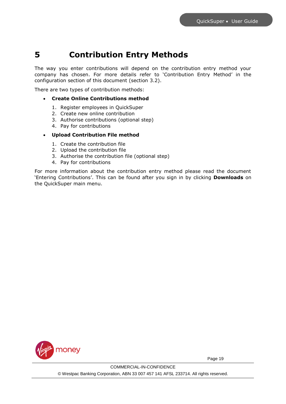### <span id="page-18-0"></span>**5 Contribution Entry Methods**

The way you enter contributions will depend on the contribution entry method your company has chosen. For more details refer to '[Contribution Entry Method](#page-9-0)' in the configuration section of this document (section [3.2\)](#page-8-2).

There are two types of contribution methods:

- **Create Online Contributions method**
	- 1. Register employees in QuickSuper
	- 2. Create new online contribution
	- 3. Authorise contributions (optional step)
	- 4. Pay for contributions
- **Upload Contribution File method**
	- 1. Create the contribution file
	- 2. Upload the contribution file
	- 3. Authorise the contribution file (optional step)
	- 4. Pay for contributions

For more information about the contribution entry method please read the document 'Entering Contributions'. This can be found after you sign in by clicking **Downloads** on the QuickSuper main menu.

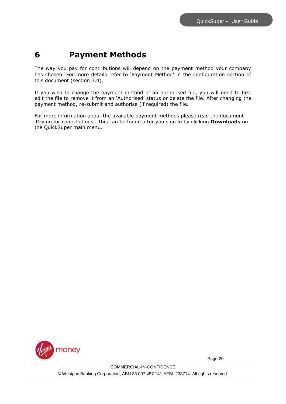### <span id="page-19-0"></span>**6 Payment Methods**

The way you pay for contributions will depend on the payment method your company has chosen. For more details refer to 'Payment Method' in the configuration section of this document (section [3.4\)](#page-10-1).

If you wish to change the payment method of an authorised file, you will need to first edit the file to remove it from an 'Authorised' status or delete the file. After changing the payment method, re-submit and authorise (if required) the file.

For more information about the available payment methods please read the document 'Paying for contributions'. This can be found after you sign in by clicking **Downloads** on the QuickSuper main menu.

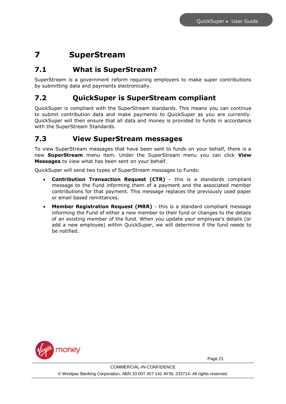## <span id="page-20-0"></span>**7 SuperStream**

### <span id="page-20-1"></span>**7.1 What is SuperStream?**

SuperStream is a government reform requiring employers to make super contributions by submitting data and payments electronically.

### <span id="page-20-2"></span>**7.2 QuickSuper is SuperStream compliant**

QuickSuper is compliant with the SuperStream standards. This means you can continue to submit contribution data and make payments to QuickSuper as you are currently. QuickSuper will then ensure that all data and money is provided to funds in accordance with the SuperStream Standards.

### <span id="page-20-3"></span>**7.3 View SuperStream messages**

To view SuperStream messages that have been sent to funds on your behalf, there is a new **SuperStream** menu item. Under the SuperStream menu you can click **View Messages** to view what has been sent on your behalf.

QuickSuper will send two types of SuperStream messages to Funds:

- **Contribution Transaction Request (CTR)** this is a standards compliant message to the Fund informing them of a payment and the associated member contributions for that payment. This message replaces the previously used paper or email based remittances.
- **Member Registration Request (MRR)** this is a standard compliant message informing the Fund of either a new member to their fund or changes to the details of an existing member of the fund. When you update your employee's details (or add a new employee) within QuickSuper, we will determine if the fund needs to be notified.

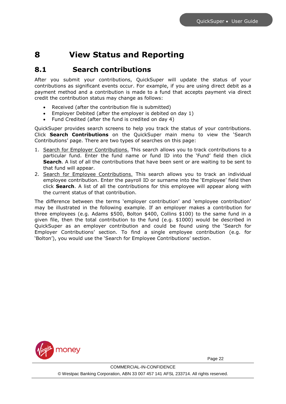### <span id="page-21-0"></span>**8 View Status and Reporting**

### <span id="page-21-1"></span>**8.1 Search contributions**

After you submit your contributions, QuickSuper will update the status of your contributions as significant events occur. For example, if you are using direct debit as a payment method and a contribution is made to a fund that accepts payment via direct credit the contribution status may change as follows:

- Received (after the contribution file is submitted)
- Employer Debited (after the employer is debited on day 1)
- Fund Credited (after the fund is credited on day 4)

QuickSuper provides search screens to help you track the status of your contributions. Click **Search Contributions** on the QuickSuper main menu to view the 'Search Contributions' page. There are two types of searches on this page:

- 1. Search for Employer Contributions. This search allows you to track contributions to a particular fund. Enter the fund name or fund ID into the 'Fund' field then click **Search**. A list of all the contributions that have been sent or are waiting to be sent to that fund will appear.
- 2. Search for Employee Contributions. This search allows you to track an individual employee contribution. Enter the payroll ID or surname into the 'Employee' field then click **Search**. A list of all the contributions for this employee will appear along with the current status of that contribution.

The difference between the terms 'employer contribution' and 'employee contribution' may be illustrated in the following example. If an employer makes a contribution for three employees (e.g. Adams \$500, Bolton \$400, Collins \$100) to the same fund in a given file, then the total contribution to the fund (e.g. \$1000) would be described in QuickSuper as an employer contribution and could be found using the 'Search for Employer Contributions' section. To find a single employee contribution (e.g. for 'Bolton'), you would use the 'Search for Employee Contributions' section.

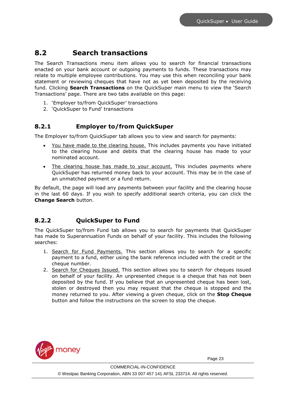### <span id="page-22-0"></span>**8.2 Search transactions**

The Search Transactions menu item allows you to search for financial transactions enacted on your bank account or outgoing payments to funds. These transactions may relate to multiple employee contributions. You may use this when reconciling your bank statement or reviewing cheques that have not as yet been deposited by the receiving fund. Clicking **Search Transactions** on the QuickSuper main menu to view the 'Search Transactions' page. There are two tabs available on this page:

- 1. 'Employer to/from QuickSuper' transactions
- 2. 'QuickSuper to Fund' transactions

### **8.2.1 Employer to/from QuickSuper**

The Employer to/from QuickSuper tab allows you to view and search for payments:

- You have made to the clearing house. This includes payments you have initiated to the clearing house and debits that the clearing house has made to your nominated account.
- The clearing house has made to your account. This includes payments where QuickSuper has returned money back to your account. This may be in the case of an unmatched payment or a fund return.

By default, the page will load any payments between your facility and the clearing house in the last 60 days. If you wish to specify additional search criteria, you can click the **Change Search** button.

### **8.2.2 QuickSuper to Fund**

The QuickSuper to/from Fund tab allows you to search for payments that QuickSuper has made to Superannuation Funds on behalf of your facility. This includes the following searches:

- 1. Search for Fund Payments. This section allows you to search for a specific payment to a fund, either using the bank reference included with the credit or the cheque number.
- 2. Search for Cheques Issued. This section allows you to search for cheques issued on behalf of your facility. An unpresented cheque is a cheque that has not been deposited by the fund. If you believe that an unpresented cheque has been lost, stolen or destroyed then you may request that the cheque is stopped and the money returned to you. After viewing a given cheque, click on the **Stop Cheque** button and follow the instructions on the screen to stop the cheque.

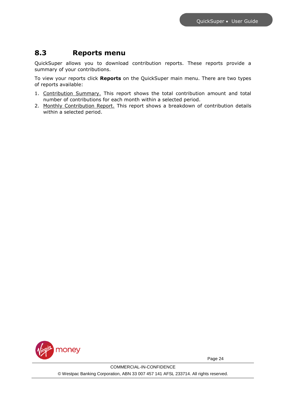### <span id="page-23-0"></span>**8.3 Reports menu**

QuickSuper allows you to download contribution reports. These reports provide a summary of your contributions.

To view your reports click **Reports** on the QuickSuper main menu. There are two types of reports available:

- 1. Contribution Summary. This report shows the total contribution amount and total number of contributions for each month within a selected period.
- 2. Monthly Contribution Report. This report shows a breakdown of contribution details within a selected period.

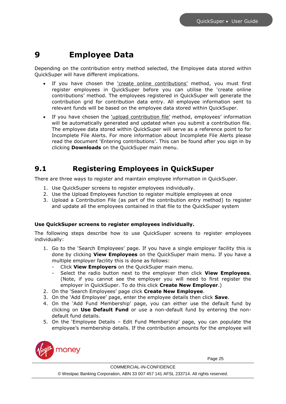## <span id="page-24-0"></span>**9 Employee Data**

Depending on the contribution entry method selected, the Employee data stored within QuickSuper will have different implications.

- If you have chosen the 'create online contributions' method, you must first register employees in QuickSuper before you can utilise the 'create online contributions' method. The employees registered in QuickSuper will generate the contribution grid for contribution data entry. All employee information sent to relevant funds will be based on the employee data stored within QuickSuper.
- If you have chosen the 'upload contribution file' method, employees' information will be automatically generated and updated when you submit a contribution file. The employee data stored within QuickSuper will serve as a reference point to for Incomplete File Alerts. For more information about Incomplete File Alerts please read the document 'Entering contributions'. This can be found after you sign in by clicking **Downloads** on the QuickSuper main menu.

### <span id="page-24-1"></span>**9.1 Registering Employees in QuickSuper**

There are three ways to register and maintain employee information in QuickSuper.

- 1. Use QuickSuper screens to register employees individually.
- 2. Use the Upload Employees function to register multiple employees at once
- 3. Upload a Contribution File (as part of the contribution entry method) to register and update all the employees contained in that file to the QuickSuper system

### **Use QuickSuper screens to register employees individually.**

The following steps describe how to use QuickSuper screens to register employees individually:

- 1. Go to the 'Search Employees' page. If you have a single employer facility this is done by clicking **View Employees** on the QuickSuper main menu. If you have a multiple employer facility this is done as follows:
	- Click **View Employers** on the QuickSuper main menu.
	- Select the radio button next to the employer then click **View Employees**. (Note, if you cannot see the employer you will need to first register the employer in QuickSuper. To do this click **Create New Employer**.)
- 2. On the 'Search Employees' page click **Create New Employee**.
- 3. On the 'Add Employee' page, enter the employee details then click **Save**.
- 4. On the 'Add Fund Membership' page, you can either use the default fund by clicking on **Use Default Fund** or use a non-default fund by entering the nondefault fund details.
- 5. On the 'Employee Details Edit Fund Membership' page, you can populate the employee's membership details. If the contribution amounts for the employee will

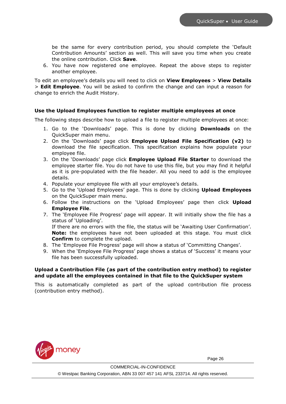be the same for every contribution period, you should complete the 'Default Contribution Amounts' section as well. This will save you time when you create the online contribution. Click **Save**.

6. You have now registered one employee. Repeat the above steps to register another employee.

To edit an employee's details you will need to click on **View Employees** > **View Details** > **Edit Employee**. You will be asked to confirm the change and can input a reason for change to enrich the Audit History.

#### **Use the Upload Employees function to register multiple employees at once**

The following steps describe how to upload a file to register multiple employees at once:

- 1. Go to the 'Downloads' page. This is done by clicking **Downloads** on the QuickSuper main menu.
- 2. On the 'Downloads' page click **Employee Upload File Specification (v2)** to download the file specification. This specification explains how populate your employee file.
- 3. On the 'Downloads' page click **Employee Upload File Starter** to download the employee starter file. You do not have to use this file, but you may find it helpful as it is pre-populated with the file header. All you need to add is the employee details.
- 4. Populate your employee file with all your employee's details.
- 5. Go to the 'Upload Employees' page. This is done by clicking **Upload Employees** on the QuickSuper main menu.
- 6. Follow the instructions on the 'Upload Employees' page then click **Upload Employee File**.
- 7. The 'Employee File Progress' page will appear. It will initially show the file has a status of 'Uploading'.

If there are no errors with the file, the status will be 'Awaiting User Confirmation'. **Note:** the employees have not been uploaded at this stage. You must click **Confirm** to complete the upload.

- 8. The 'Employee File Progress' page will show a status of 'Committing Changes'.
- 9. When the 'Employee File Progress' page shows a status of 'Success' it means your file has been successfully uploaded.

#### **Upload a Contribution File (as part of the contribution entry method) to register and update all the employees contained in that file to the QuickSuper system**

This is automatically completed as part of the upload contribution file process (contribution entry method).

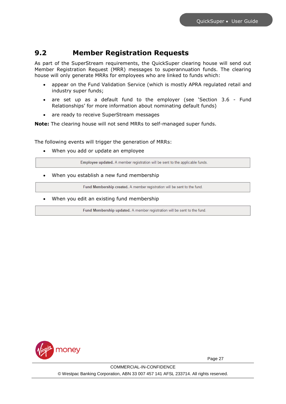### <span id="page-26-0"></span>**9.2 Member Registration Requests**

As part of the SuperStream requirements, the QuickSuper clearing house will send out Member Registration Request (MRR) messages to superannuation funds. The clearing house will only generate MRRs for employees who are linked to funds which:

- appear on the Fund Validation Service (which is mostly APRA regulated retail and industry super funds;
- are set up as a default fund to the employer (see 'Section [3.6](#page-12-0) [Fund](#page-12-0)  [Relationships](#page-12-0)' for more information about nominating default funds)
- are ready to receive SuperStream messages

**Note:** The clearing house will not send MRRs to self-managed super funds.

The following events will trigger the generation of MRRs:

When you add or update an employee

Employee updated. A member registration will be sent to the applicable funds.

When you establish a new fund membership

Fund Membership created. A member registration will be sent to the fund.

When you edit an existing fund membership

Fund Membership updated. A member registration will be sent to the fund.

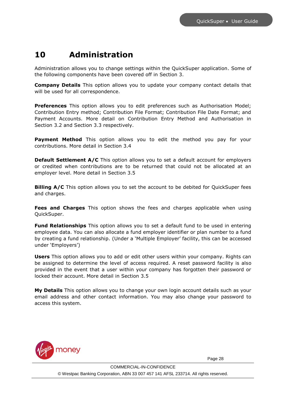### <span id="page-27-0"></span>**10 Administration**

Administration allows you to change settings within the QuickSuper application. Some of the following components have been covered off in Section 3.

**Company Details** This option allows you to update your company contact details that will be used for all correspondence.

**Preferences** This option allows you to edit preferences such as Authorisation Model; Contribution Entry method; Contribution File Format; Contribution File Date Format; and Payment Accounts. More detail on Contribution Entry Method and Authorisation in Section 3.2 and Section 3.3 respectively.

**Payment Method** This option allows you to edit the method you pay for your contributions. More detail in Section 3.4

**Default Settlement A/C** This option allows you to set a default account for employers or credited when contributions are to be returned that could not be allocated at an employer level. More detail in Section 3.5

**Billing A/C** This option allows you to set the account to be debited for QuickSuper fees and charges.

**Fees and Charges** This option shows the fees and charges applicable when using QuickSuper.

**Fund Relationships** This option allows you to set a default fund to be used in entering employee data. You can also allocate a fund employer identifier or plan number to a fund by creating a fund relationship. (Under a 'Multiple Employer' facility, this can be accessed under 'Employers')

**Users** This option allows you to add or edit other users within your company. Rights can be assigned to determine the level of access required. A reset password facility is also provided in the event that a user within your company has forgotten their password or locked their account. More detail in Section 3.5

**My Details** This option allows you to change your own login account details such as your email address and other contact information. You may also change your password to access this system.

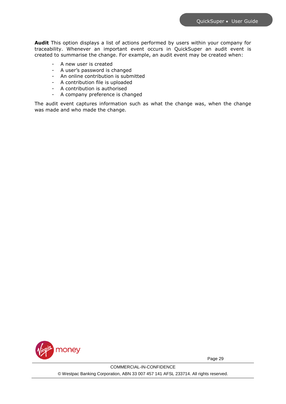**Audit** This option displays a list of actions performed by users within your company for traceability. Whenever an important event occurs in QuickSuper an audit event is created to summarise the change. For example, an audit event may be created when:

- A new user is created
- A user's password is changed
- An online contribution is submitted
- A contribution file is uploaded
- A contribution is authorised
- A company preference is changed

The audit event captures information such as what the change was, when the change was made and who made the change.

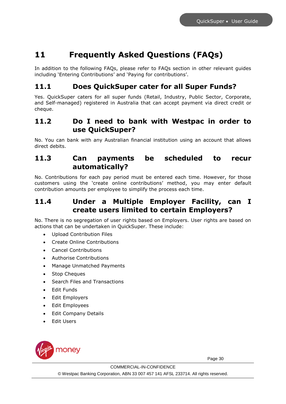## <span id="page-29-0"></span>**11 Frequently Asked Questions (FAQs)**

In addition to the following FAQs, please refer to FAQs section in other relevant guides including 'Entering Contributions' and 'Paying for contributions'.

### <span id="page-29-1"></span>**11.1 Does QuickSuper cater for all Super Funds?**

Yes. QuickSuper caters for all super funds (Retail, Industry, Public Sector, Corporate, and Self-managed) registered in Australia that can accept payment via direct credit or cheque.

### <span id="page-29-2"></span>**11.2 Do I need to bank with Westpac in order to use QuickSuper?**

No. You can bank with any Australian financial institution using an account that allows direct debits.

### <span id="page-29-3"></span>**11.3 Can payments be scheduled to recur automatically?**

No. Contributions for each pay period must be entered each time. However, for those customers using the 'create online contributions' method, you may enter default contribution amounts per employee to simplify the process each time.

### <span id="page-29-4"></span>**11.4 Under a Multiple Employer Facility, can I create users limited to certain Employers?**

No. There is no segregation of user rights based on Employers. User rights are based on actions that can be undertaken in QuickSuper. These include:

- Upload Contribution Files
- Create Online Contributions
- Cancel Contributions
- Authorise Contributions
- Manage Unmatched Payments
- Stop Cheques
- Search Files and Transactions
- Edit Funds
- Edit Employers
- Edit Employees
- Edit Company Details
- Edit Users

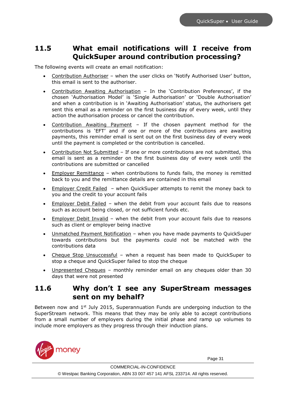### <span id="page-30-0"></span>**11.5 What email notifications will I receive from QuickSuper around contribution processing?**

The following events will create an email notification:

- Contribution Authoriser when the user clicks on 'Notify Authorised User' button, this email is sent to the authoriser.
- Contribution Awaiting Authorisation In the 'Contribution Preferences', if the chosen 'Authorisation Model' is 'Single Authorisation' or 'Double Authorisation' and when a contribution is in 'Awaiting Authorisation' status, the authorisers get sent this email as a reminder on the first business day of every week, until they action the authorisation process or cancel the contribution.
- Contribution Awaiting Payment If the chosen payment method for the contributions is 'EFT' and if one or more of the contributions are awaiting payments, this reminder email is sent out on the first business day of every week until the payment is completed or the contribution is cancelled.
- Contribution Not Submitted If one or more contributions are not submitted, this email is sent as a reminder on the first business day of every week until the contributions are submitted or cancelled
- Employer Remittance when contributions to funds fails, the money is remitted back to you and the remittance details are contained in this email
- Employer Credit Failed when QuickSuper attempts to remit the money back to you and the credit to your account fails
- Employer Debit Failed when the debit from your account fails due to reasons such as account being closed, or not sufficient funds etc.
- Employer Debit Invalid when the debit from your account fails due to reasons such as client or employer being inactive
- Unmatched Payment Notification when you have made payments to QuickSuper towards contributions but the payments could not be matched with the contributions data
- Cheque Stop Unsuccessful when a request has been made to QuickSuper to stop a cheque and QuickSuper failed to stop the cheque
- Unpresented Cheques monthly reminder email on any cheques older than 30 days that were not presented

### <span id="page-30-1"></span>**11.6 Why don't I see any SuperStream messages sent on my behalf?**

Between now and  $1<sup>st</sup>$  July 2015, Superannuation Funds are undergoing induction to the SuperStream network. This means that they may be only able to accept contributions from a small number of employers during the initial phase and ramp up volumes to include more employers as they progress through their induction plans.